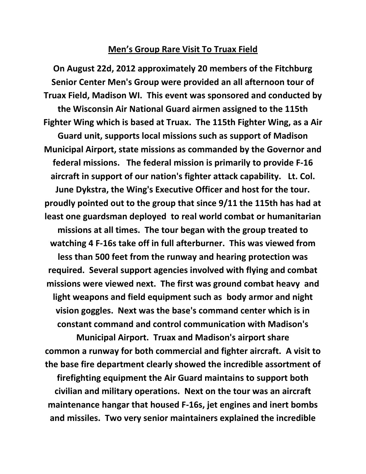## **Men's Group Rare Visit To Truax Field**

**On August 22d, 2012 approximately 20 members of the Fitchburg Senior Center Men's Group were provided an all afternoon tour of Truax Field, Madison WI. This event was sponsored and conducted by the Wisconsin Air National Guard airmen assigned to the 115th Fighter Wing which is based at Truax. The 115th Fighter Wing, as a Air Guard unit, supports local missions such as support of Madison Municipal Airport, state missions as commanded by the Governor and federal missions. The federal mission is primarily to provide F-16 aircraft in support of our nation's fighter attack capability. Lt. Col. June Dykstra, the Wing's Executive Officer and host for the tour. proudly pointed out to the group that since 9/11 the 115th has had at least one guardsman deployed to real world combat or humanitarian missions at all times. The tour began with the group treated to watching 4 F-16s take off in full afterburner. This was viewed from less than 500 feet from the runway and hearing protection was required. Several support agencies involved with flying and combat missions were viewed next. The first was ground combat heavy and light weapons and field equipment such as body armor and night vision goggles. Next was the base's command center which is in constant command and control communication with Madison's Municipal Airport. Truax and Madison's airport share** 

**common a runway for both commercial and fighter aircraft. A visit to the base fire department clearly showed the incredible assortment of** 

**firefighting equipment the Air Guard maintains to support both civilian and military operations. Next on the tour was an aircraft maintenance hangar that housed F-16s, jet engines and inert bombs and missiles. Two very senior maintainers explained the incredible**